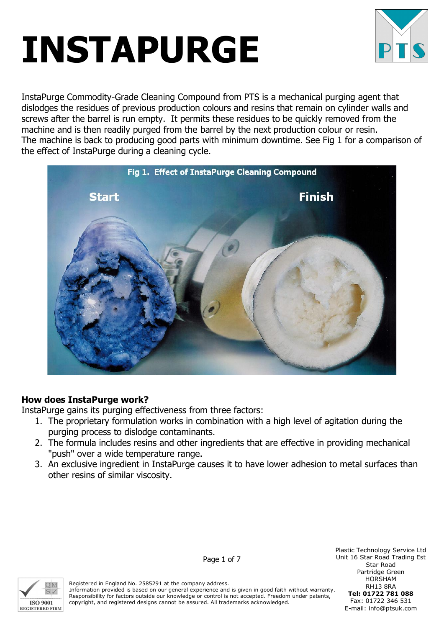

InstaPurge Commodity-Grade Cleaning Compound from PTS is a mechanical purging agent that dislodges the residues of previous production colours and resins that remain on cylinder walls and screws after the barrel is run empty. It permits these residues to be quickly removed from the machine and is then readily purged from the barrel by the next production colour or resin. The machine is back to producing good parts with minimum downtime. See Fig 1 for a comparison of the effect of InstaPurge during a cleaning cycle.



### How does InstaPurge work?

InstaPurge gains its purging effectiveness from three factors:

- 1. The proprietary formulation works in combination with a high level of agitation during the purging process to dislodge contaminants.
- 2. The formula includes resins and other ingredients that are effective in providing mechanical "push" over a wide temperature range.
- 3. An exclusive ingredient in InstaPurge causes it to have lower adhesion to metal surfaces than other resins of similar viscosity.



Registered in England No. 2585291 at the company address. Information provided is based on our general experience and is given in good faith without warranty. Responsibility for factors outside our knowledge or control is not accepted. Freedom under patents, copyright, and registered designs cannot be assured. All trademarks acknowledged.

Plastic Technology Service Ltd Unit 16 Star Road Trading Est Star Road Partridge Green HORSHAM RH13 8RA Tel: 01722 781 088 Fax: 01722 346 531 E-mail: info@ptsuk.com

Page 1 of 7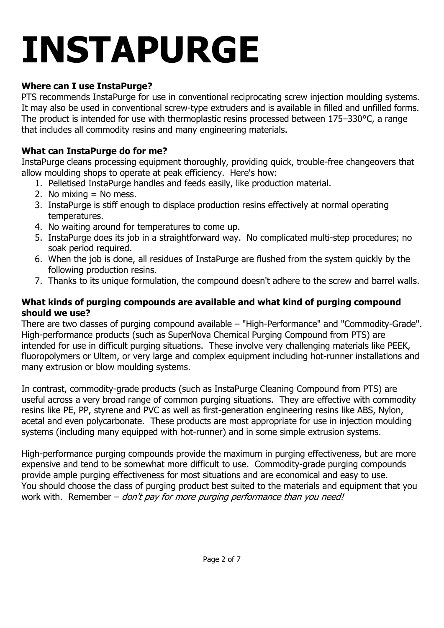## Where can I use InstaPurge?

PTS recommends InstaPurge for use in conventional reciprocating screw injection moulding systems. It may also be used in conventional screw-type extruders and is available in filled and unfilled forms. The product is intended for use with thermoplastic resins processed between 175–330°C, a range that includes all commodity resins and many engineering materials.

### What can InstaPurge do for me?

InstaPurge cleans processing equipment thoroughly, providing quick, trouble-free changeovers that allow moulding shops to operate at peak efficiency. Here's how:

- 1. Pelletised InstaPurge handles and feeds easily, like production material.
- 2. No mixing  $=$  No mess.
- 3. InstaPurge is stiff enough to displace production resins effectively at normal operating temperatures.
- 4. No waiting around for temperatures to come up.
- 5. InstaPurge does its job in a straightforward way. No complicated multi-step procedures; no soak period required.
- 6. When the job is done, all residues of InstaPurge are flushed from the system quickly by the following production resins.
- 7. Thanks to its unique formulation, the compound doesn't adhere to the screw and barrel walls.

#### What kinds of purging compounds are available and what kind of purging compound should we use?

There are two classes of purging compound available – "High-Performance" and "Commodity-Grade". High-performance products (such as SuperNova Chemical Purging Compound from PTS) are intended for use in difficult purging situations. These involve very challenging materials like PEEK, fluoropolymers or Ultem, or very large and complex equipment including hot-runner installations and many extrusion or blow moulding systems.

In contrast, commodity-grade products (such as InstaPurge Cleaning Compound from PTS) are useful across a very broad range of common purging situations. They are effective with commodity resins like PE, PP, styrene and PVC as well as first-generation engineering resins like ABS, Nylon, acetal and even polycarbonate. These products are most appropriate for use in injection moulding systems (including many equipped with hot-runner) and in some simple extrusion systems.

High-performance purging compounds provide the maximum in purging effectiveness, but are more expensive and tend to be somewhat more difficult to use. Commodity-grade purging compounds provide ample purging effectiveness for most situations and are economical and easy to use. You should choose the class of purging product best suited to the materials and equipment that you work with. Remember  $-\frac{d}{d}$  *don't pay for more purging performance than you need!*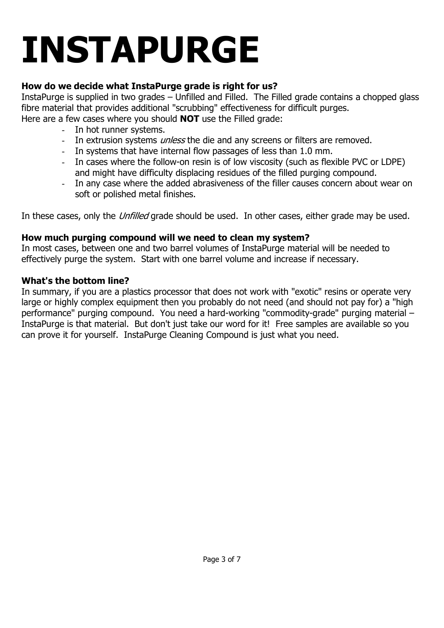## How do we decide what InstaPurge grade is right for us?

InstaPurge is supplied in two grades – Unfilled and Filled. The Filled grade contains a chopped glass fibre material that provides additional "scrubbing" effectiveness for difficult purges.

Here are a few cases where you should **NOT** use the Filled grade:

- In hot runner systems.
- In extrusion systems *unless* the die and any screens or filters are removed.
- In systems that have internal flow passages of less than 1.0 mm.
- In cases where the follow-on resin is of low viscosity (such as flexible PVC or LDPE) and might have difficulty displacing residues of the filled purging compound.
- In any case where the added abrasiveness of the filler causes concern about wear on soft or polished metal finishes.

In these cases, only the *Unfilled* grade should be used. In other cases, either grade may be used.

### How much purging compound will we need to clean my system?

In most cases, between one and two barrel volumes of InstaPurge material will be needed to effectively purge the system. Start with one barrel volume and increase if necessary.

#### What's the bottom line?

In summary, if you are a plastics processor that does not work with "exotic" resins or operate very large or highly complex equipment then you probably do not need (and should not pay for) a "high performance" purging compound. You need a hard-working "commodity-grade" purging material – InstaPurge is that material. But don't just take our word for it! Free samples are available so you can prove it for yourself. InstaPurge Cleaning Compound is just what you need.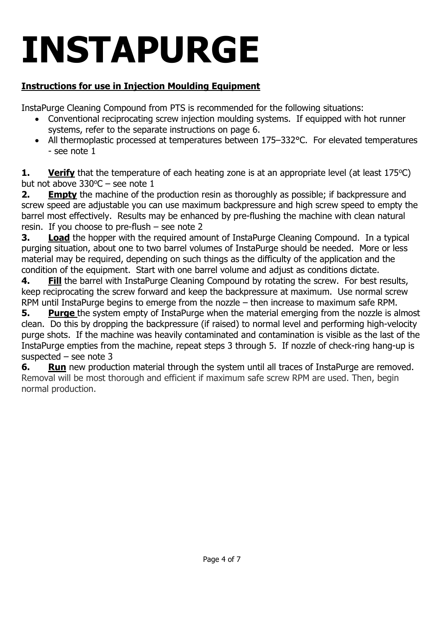## Instructions for use in Injection Moulding Equipment

InstaPurge Cleaning Compound from PTS is recommended for the following situations:

- Conventional reciprocating screw injection moulding systems. If equipped with hot runner systems, refer to the separate instructions on page 6.
- All thermoplastic processed at temperatures between 175–332°C. For elevated temperatures - see note 1

**1.** Verify that the temperature of each heating zone is at an appropriate level (at least  $175^{\circ}$ C) but not above  $330^{\circ}$ C – see note 1

2. Empty the machine of the production resin as thoroughly as possible; if backpressure and screw speed are adjustable you can use maximum backpressure and high screw speed to empty the barrel most effectively. Results may be enhanced by pre-flushing the machine with clean natural resin. If you choose to pre-flush – see note 2

**3.** Load the hopper with the required amount of InstaPurge Cleaning Compound. In a typical purging situation, about one to two barrel volumes of InstaPurge should be needed. More or less material may be required, depending on such things as the difficulty of the application and the condition of the equipment. Start with one barrel volume and adjust as conditions dictate.

4. Fill the barrel with InstaPurge Cleaning Compound by rotating the screw. For best results, keep reciprocating the screw forward and keep the backpressure at maximum. Use normal screw RPM until InstaPurge begins to emerge from the nozzle – then increase to maximum safe RPM.

5. Purge the system empty of InstaPurge when the material emerging from the nozzle is almost clean. Do this by dropping the backpressure (if raised) to normal level and performing high-velocity purge shots. If the machine was heavily contaminated and contamination is visible as the last of the InstaPurge empties from the machine, repeat steps 3 through 5. If nozzle of check-ring hang-up is suspected – see note 3

6. Run new production material through the system until all traces of InstaPurge are removed. Removal will be most thorough and efficient if maximum safe screw RPM are used. Then, begin normal production.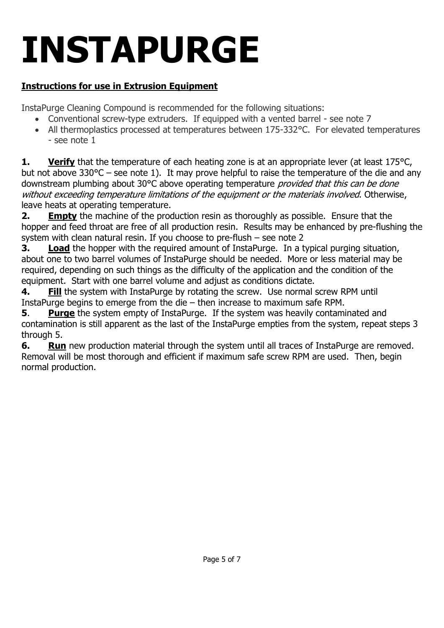## Instructions for use in Extrusion Equipment

InstaPurge Cleaning Compound is recommended for the following situations:

- Conventional screw-type extruders. If equipped with a vented barrel see note 7
- All thermoplastics processed at temperatures between 175-332°C. For elevated temperatures - see note 1

**1.** Verify that the temperature of each heating zone is at an appropriate lever (at least  $175^{\circ}$ C, but not above 330°C – see note 1). It may prove helpful to raise the temperature of the die and any downstream plumbing about 30°C above operating temperature *provided that this can be done* without exceeding temperature limitations of the equipment or the materials involved. Otherwise, leave heats at operating temperature.

**2.** Empty the machine of the production resin as thoroughly as possible. Ensure that the hopper and feed throat are free of all production resin. Results may be enhanced by pre-flushing the system with clean natural resin. If you choose to pre-flush – see note 2

**3.** Load the hopper with the required amount of InstaPurge. In a typical purging situation, about one to two barrel volumes of InstaPurge should be needed. More or less material may be required, depending on such things as the difficulty of the application and the condition of the equipment. Start with one barrel volume and adjust as conditions dictate.

4. Fill the system with InstaPurge by rotating the screw. Use normal screw RPM until InstaPurge begins to emerge from the die – then increase to maximum safe RPM.

5. Purge the system empty of InstaPurge. If the system was heavily contaminated and contamination is still apparent as the last of the InstaPurge empties from the system, repeat steps 3 through 5.

6. Run new production material through the system until all traces of InstaPurge are removed. Removal will be most thorough and efficient if maximum safe screw RPM are used. Then, begin normal production.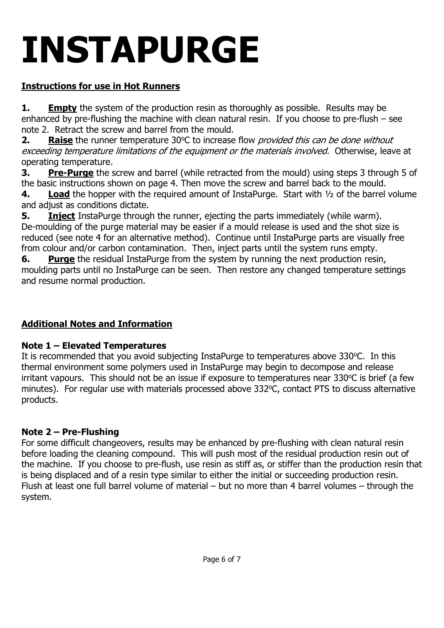## Instructions for use in Hot Runners

**1.** Empty the system of the production resin as thoroughly as possible. Results may be enhanced by pre-flushing the machine with clean natural resin. If you choose to pre-flush – see note 2. Retract the screw and barrel from the mould.

**2.** Raise the runner temperature 30 $\degree$ C to increase flow *provided this can be done without* exceeding temperature limitations of the equipment or the materials involved. Otherwise, leave at operating temperature.

3. Pre-Purge the screw and barrel (while retracted from the mould) using steps 3 through 5 of the basic instructions shown on page 4. Then move the screw and barrel back to the mould.

4. Load the hopper with the required amount of InstaPurge. Start with 1/2 of the barrel volume and adjust as conditions dictate.

**5.** Inject InstaPurge through the runner, ejecting the parts immediately (while warm). De-moulding of the purge material may be easier if a mould release is used and the shot size is reduced (see note 4 for an alternative method). Continue until InstaPurge parts are visually free from colour and/or carbon contamination. Then, inject parts until the system runs empty.

6. Purge the residual InstaPurge from the system by running the next production resin, moulding parts until no InstaPurge can be seen. Then restore any changed temperature settings and resume normal production.

### Additional Notes and Information

### Note 1 – Elevated Temperatures

It is recommended that you avoid subjecting InstaPurge to temperatures above 330°C. In this thermal environment some polymers used in InstaPurge may begin to decompose and release irritant vapours. This should not be an issue if exposure to temperatures near 330°C is brief (a few minutes). For regular use with materials processed above 332°C, contact PTS to discuss alternative products.

## Note 2 – Pre-Flushing

For some difficult changeovers, results may be enhanced by pre-flushing with clean natural resin before loading the cleaning compound. This will push most of the residual production resin out of the machine. If you choose to pre-flush, use resin as stiff as, or stiffer than the production resin that is being displaced and of a resin type similar to either the initial or succeeding production resin. Flush at least one full barrel volume of material – but no more than 4 barrel volumes – through the system.